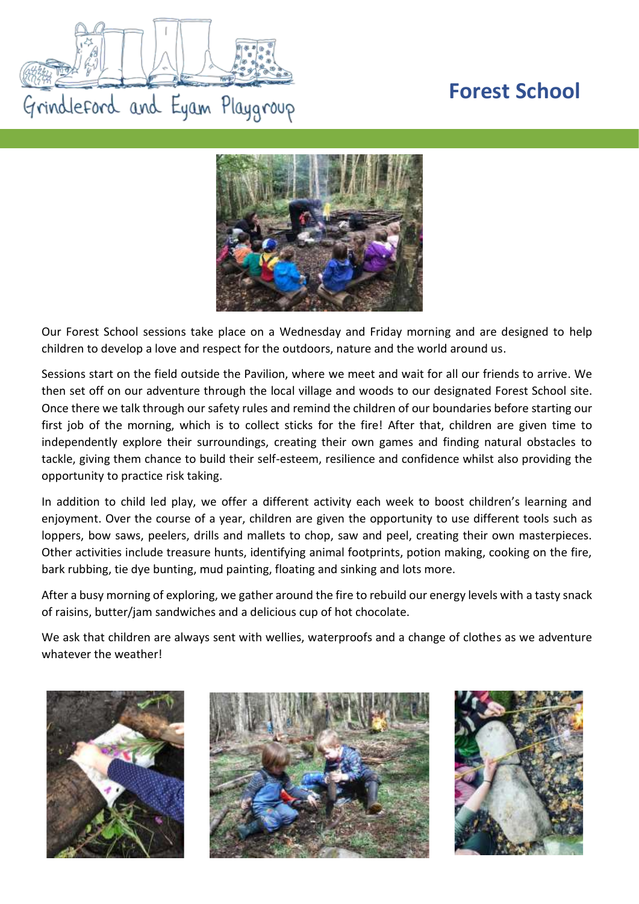## **Forest School**





Our Forest School sessions take place on a Wednesday and Friday morning and are designed to help children to develop a love and respect for the outdoors, nature and the world around us.

Sessions start on the field outside the Pavilion, where we meet and wait for all our friends to arrive. We then set off on our adventure through the local village and woods to our designated Forest School site. Once there we talk through our safety rules and remind the children of our boundaries before starting our first job of the morning, which is to collect sticks for the fire! After that, children are given time to independently explore their surroundings, creating their own games and finding natural obstacles to tackle, giving them chance to build their self-esteem, resilience and confidence whilst also providing the opportunity to practice risk taking.

In addition to child led play, we offer a different activity each week to boost children's learning and enjoyment. Over the course of a year, children are given the opportunity to use different tools such as loppers, bow saws, peelers, drills and mallets to chop, saw and peel, creating their own masterpieces. Other activities include treasure hunts, identifying animal footprints, potion making, cooking on the fire, bark rubbing, tie dye bunting, mud painting, floating and sinking and lots more.

After a busy morning of exploring, we gather around the fire to rebuild our energy levels with a tasty snack of raisins, butter/jam sandwiches and a delicious cup of hot chocolate.

We ask that children are always sent with wellies, waterproofs and a change of clothes as we adventure whatever the weather!